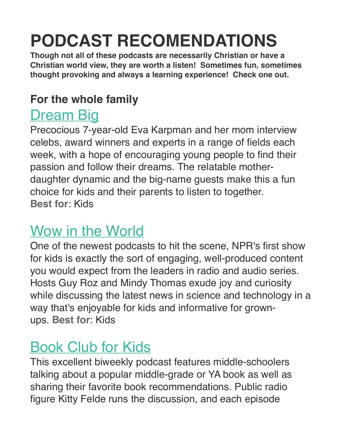# **PODCAST RECOMENDATIONS**

**Though not all of these podcasts are necessarily Christian or have a Christian world view, they are worth a listen! Sometimes fun, sometimes thought provoking and always a learning experience! Check one out.**

#### **For the whole family**

#### **[Dream Big](http://dreambigpodcast.com/)**

Precocious 7-year-old Eva Karpman and her mom interview celebs, award winners and experts in a range of fields each week, with a hope of encouraging young people to find their passion and follow their dreams. The relatable motherdaughter dynamic and the big-name guests make this a fun choice for kids and their parents to listen to together. **Best for**: Kids

#### [Wow in the World](http://www.npr.org/podcasts/510321/wow-in-the-world)

One of the newest podcasts to hit the scene, NPR's first show for kids is exactly the sort of engaging, well-produced content you would expect from the leaders in radio and audio series. Hosts Guy Roz and Mindy Thomas exude joy and curiosity while discussing the latest news in science and technology in a way that's enjoyable for kids and informative for grownups. **Best for**: Kids

### [Book Club for Kids](http://www.bookclubforkids.org/)

This excellent biweekly podcast features middle-schoolers talking about a popular middle-grade or YA book as well as sharing their favorite book recommendations. Public radio figure Kitty Felde runs the discussion, and each episode